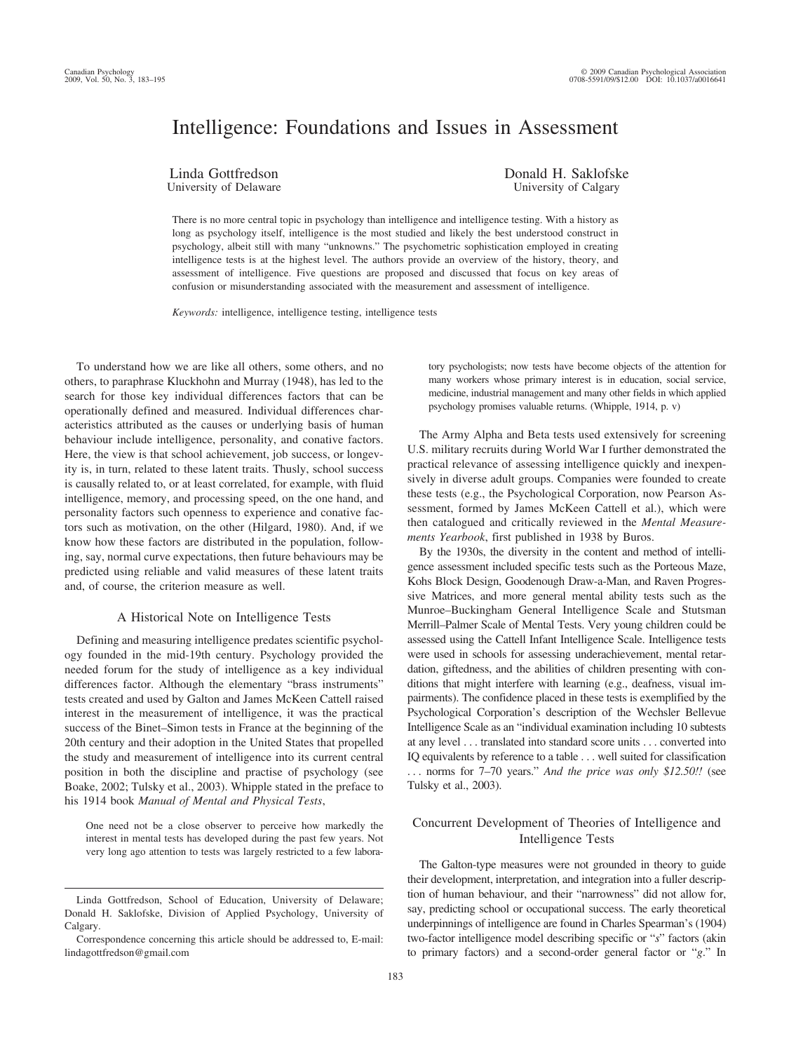# Intelligence: Foundations and Issues in Assessment

Linda Gottfredson University of Delaware Donald H. Saklofske University of Calgary

There is no more central topic in psychology than intelligence and intelligence testing. With a history as long as psychology itself, intelligence is the most studied and likely the best understood construct in psychology, albeit still with many "unknowns." The psychometric sophistication employed in creating intelligence tests is at the highest level. The authors provide an overview of the history, theory, and assessment of intelligence. Five questions are proposed and discussed that focus on key areas of confusion or misunderstanding associated with the measurement and assessment of intelligence.

*Keywords:* intelligence, intelligence testing, intelligence tests

To understand how we are like all others, some others, and no others, to paraphrase Kluckhohn and Murray (1948), has led to the search for those key individual differences factors that can be operationally defined and measured. Individual differences characteristics attributed as the causes or underlying basis of human behaviour include intelligence, personality, and conative factors. Here, the view is that school achievement, job success, or longevity is, in turn, related to these latent traits. Thusly, school success is causally related to, or at least correlated, for example, with fluid intelligence, memory, and processing speed, on the one hand, and personality factors such openness to experience and conative factors such as motivation, on the other (Hilgard, 1980). And, if we know how these factors are distributed in the population, following, say, normal curve expectations, then future behaviours may be predicted using reliable and valid measures of these latent traits and, of course, the criterion measure as well.

## A Historical Note on Intelligence Tests

Defining and measuring intelligence predates scientific psychology founded in the mid-19th century. Psychology provided the needed forum for the study of intelligence as a key individual differences factor. Although the elementary "brass instruments" tests created and used by Galton and James McKeen Cattell raised interest in the measurement of intelligence, it was the practical success of the Binet–Simon tests in France at the beginning of the 20th century and their adoption in the United States that propelled the study and measurement of intelligence into its current central position in both the discipline and practise of psychology (see Boake, 2002; Tulsky et al., 2003). Whipple stated in the preface to his 1914 book *Manual of Mental and Physical Tests*,

One need not be a close observer to perceive how markedly the interest in mental tests has developed during the past few years. Not very long ago attention to tests was largely restricted to a few labora-

tory psychologists; now tests have become objects of the attention for many workers whose primary interest is in education, social service, medicine, industrial management and many other fields in which applied psychology promises valuable returns. (Whipple, 1914, p. v)

The Army Alpha and Beta tests used extensively for screening U.S. military recruits during World War I further demonstrated the practical relevance of assessing intelligence quickly and inexpensively in diverse adult groups. Companies were founded to create these tests (e.g., the Psychological Corporation, now Pearson Assessment, formed by James McKeen Cattell et al.), which were then catalogued and critically reviewed in the *Mental Measurements Yearbook*, first published in 1938 by Buros.

By the 1930s, the diversity in the content and method of intelligence assessment included specific tests such as the Porteous Maze, Kohs Block Design, Goodenough Draw-a-Man, and Raven Progressive Matrices, and more general mental ability tests such as the Munroe–Buckingham General Intelligence Scale and Stutsman Merrill–Palmer Scale of Mental Tests. Very young children could be assessed using the Cattell Infant Intelligence Scale. Intelligence tests were used in schools for assessing underachievement, mental retardation, giftedness, and the abilities of children presenting with conditions that might interfere with learning (e.g., deafness, visual impairments). The confidence placed in these tests is exemplified by the Psychological Corporation's description of the Wechsler Bellevue Intelligence Scale as an "individual examination including 10 subtests at any level . . . translated into standard score units . . . converted into IQ equivalents by reference to a table . . . well suited for classification . . . norms for 7–70 years." *And the price was only \$12.50!!* (see Tulsky et al., 2003).

#### Concurrent Development of Theories of Intelligence and Intelligence Tests

The Galton-type measures were not grounded in theory to guide their development, interpretation, and integration into a fuller description of human behaviour, and their "narrowness" did not allow for, say, predicting school or occupational success. The early theoretical underpinnings of intelligence are found in Charles Spearman's (1904) two-factor intelligence model describing specific or "*s*" factors (akin to primary factors) and a second-order general factor or "*g*." In

Linda Gottfredson, School of Education, University of Delaware; Donald H. Saklofske, Division of Applied Psychology, University of Calgary.

Correspondence concerning this article should be addressed to, E-mail: lindagottfredson@gmail.com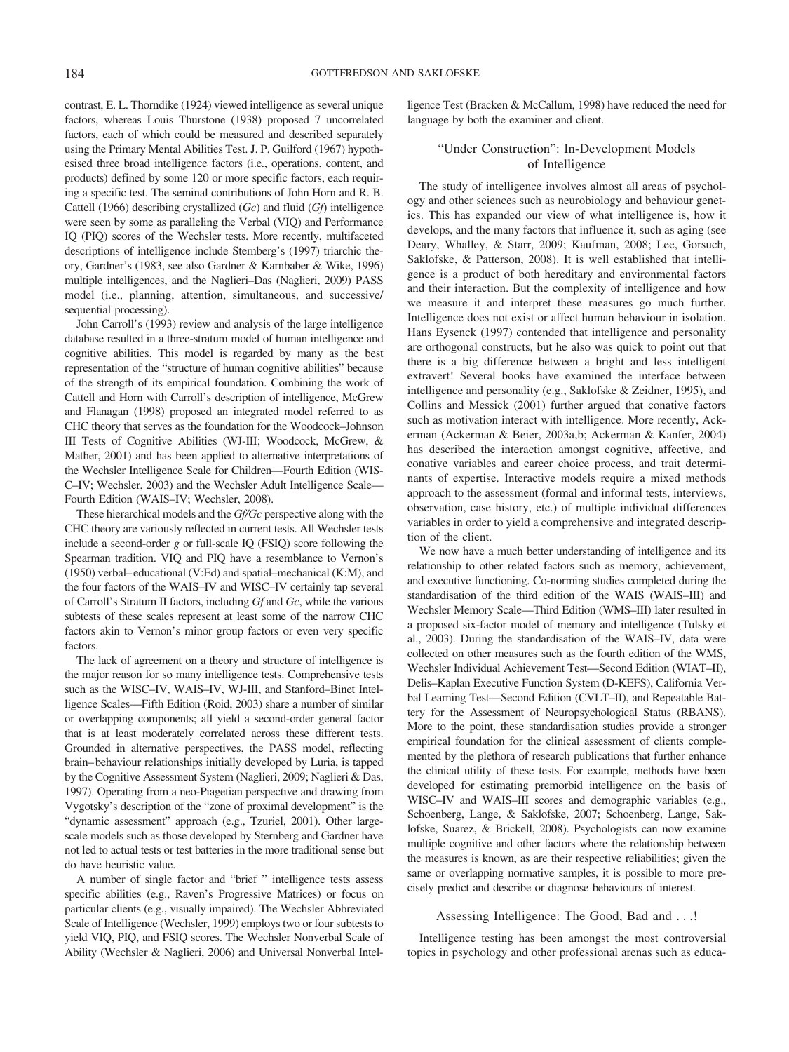contrast, E. L. Thorndike (1924) viewed intelligence as several unique factors, whereas Louis Thurstone (1938) proposed 7 uncorrelated factors, each of which could be measured and described separately using the Primary Mental Abilities Test. J. P. Guilford (1967) hypothesised three broad intelligence factors (i.e., operations, content, and products) defined by some 120 or more specific factors, each requiring a specific test. The seminal contributions of John Horn and R. B. Cattell (1966) describing crystallized (*Gc*) and fluid (*Gf*) intelligence were seen by some as paralleling the Verbal (VIQ) and Performance IQ (PIQ) scores of the Wechsler tests. More recently, multifaceted descriptions of intelligence include Sternberg's (1997) triarchic theory, Gardner's (1983, see also Gardner & Karnbaber & Wike, 1996) multiple intelligences, and the Naglieri–Das (Naglieri, 2009) PASS model (i.e., planning, attention, simultaneous, and successive/ sequential processing).

John Carroll's (1993) review and analysis of the large intelligence database resulted in a three-stratum model of human intelligence and cognitive abilities. This model is regarded by many as the best representation of the "structure of human cognitive abilities" because of the strength of its empirical foundation. Combining the work of Cattell and Horn with Carroll's description of intelligence, McGrew and Flanagan (1998) proposed an integrated model referred to as CHC theory that serves as the foundation for the Woodcock–Johnson III Tests of Cognitive Abilities (WJ-III; Woodcock, McGrew, & Mather, 2001) and has been applied to alternative interpretations of the Wechsler Intelligence Scale for Children—Fourth Edition (WIS-C–IV; Wechsler, 2003) and the Wechsler Adult Intelligence Scale— Fourth Edition (WAIS–IV; Wechsler, 2008).

These hierarchical models and the *Gf/Gc* perspective along with the CHC theory are variously reflected in current tests. All Wechsler tests include a second-order *g* or full-scale IQ (FSIQ) score following the Spearman tradition. VIQ and PIQ have a resemblance to Vernon's (1950) verbal–educational (V:Ed) and spatial–mechanical (K:M), and the four factors of the WAIS–IV and WISC–IV certainly tap several of Carroll's Stratum II factors, including *Gf* and *Gc*, while the various subtests of these scales represent at least some of the narrow CHC factors akin to Vernon's minor group factors or even very specific factors.

The lack of agreement on a theory and structure of intelligence is the major reason for so many intelligence tests. Comprehensive tests such as the WISC–IV, WAIS–IV, WJ-III, and Stanford–Binet Intelligence Scales—Fifth Edition (Roid, 2003) share a number of similar or overlapping components; all yield a second-order general factor that is at least moderately correlated across these different tests. Grounded in alternative perspectives, the PASS model, reflecting brain– behaviour relationships initially developed by Luria, is tapped by the Cognitive Assessment System (Naglieri, 2009; Naglieri & Das, 1997). Operating from a neo-Piagetian perspective and drawing from Vygotsky's description of the "zone of proximal development" is the "dynamic assessment" approach (e.g., Tzuriel, 2001). Other largescale models such as those developed by Sternberg and Gardner have not led to actual tests or test batteries in the more traditional sense but do have heuristic value.

A number of single factor and "brief " intelligence tests assess specific abilities (e.g., Raven's Progressive Matrices) or focus on particular clients (e.g., visually impaired). The Wechsler Abbreviated Scale of Intelligence (Wechsler, 1999) employs two or four subtests to yield VIQ, PIQ, and FSIQ scores. The Wechsler Nonverbal Scale of Ability (Wechsler & Naglieri, 2006) and Universal Nonverbal Intelligence Test (Bracken & McCallum, 1998) have reduced the need for language by both the examiner and client.

#### "Under Construction": In-Development Models of Intelligence

The study of intelligence involves almost all areas of psychology and other sciences such as neurobiology and behaviour genetics. This has expanded our view of what intelligence is, how it develops, and the many factors that influence it, such as aging (see Deary, Whalley, & Starr, 2009; Kaufman, 2008; Lee, Gorsuch, Saklofske, & Patterson, 2008). It is well established that intelligence is a product of both hereditary and environmental factors and their interaction. But the complexity of intelligence and how we measure it and interpret these measures go much further. Intelligence does not exist or affect human behaviour in isolation. Hans Eysenck (1997) contended that intelligence and personality are orthogonal constructs, but he also was quick to point out that there is a big difference between a bright and less intelligent extravert! Several books have examined the interface between intelligence and personality (e.g., Saklofske & Zeidner, 1995), and Collins and Messick (2001) further argued that conative factors such as motivation interact with intelligence. More recently, Ackerman (Ackerman & Beier, 2003a,b; Ackerman & Kanfer, 2004) has described the interaction amongst cognitive, affective, and conative variables and career choice process, and trait determinants of expertise. Interactive models require a mixed methods approach to the assessment (formal and informal tests, interviews, observation, case history, etc.) of multiple individual differences variables in order to yield a comprehensive and integrated description of the client.

We now have a much better understanding of intelligence and its relationship to other related factors such as memory, achievement, and executive functioning. Co-norming studies completed during the standardisation of the third edition of the WAIS (WAIS–III) and Wechsler Memory Scale—Third Edition (WMS–III) later resulted in a proposed six-factor model of memory and intelligence (Tulsky et al., 2003). During the standardisation of the WAIS–IV, data were collected on other measures such as the fourth edition of the WMS, Wechsler Individual Achievement Test—Second Edition (WIAT–II), Delis–Kaplan Executive Function System (D-KEFS), California Verbal Learning Test—Second Edition (CVLT–II), and Repeatable Battery for the Assessment of Neuropsychological Status (RBANS). More to the point, these standardisation studies provide a stronger empirical foundation for the clinical assessment of clients complemented by the plethora of research publications that further enhance the clinical utility of these tests. For example, methods have been developed for estimating premorbid intelligence on the basis of WISC–IV and WAIS–III scores and demographic variables (e.g., Schoenberg, Lange, & Saklofske, 2007; Schoenberg, Lange, Saklofske, Suarez, & Brickell, 2008). Psychologists can now examine multiple cognitive and other factors where the relationship between the measures is known, as are their respective reliabilities; given the same or overlapping normative samples, it is possible to more precisely predict and describe or diagnose behaviours of interest.

#### Assessing Intelligence: The Good, Bad and . . .!

Intelligence testing has been amongst the most controversial topics in psychology and other professional arenas such as educa-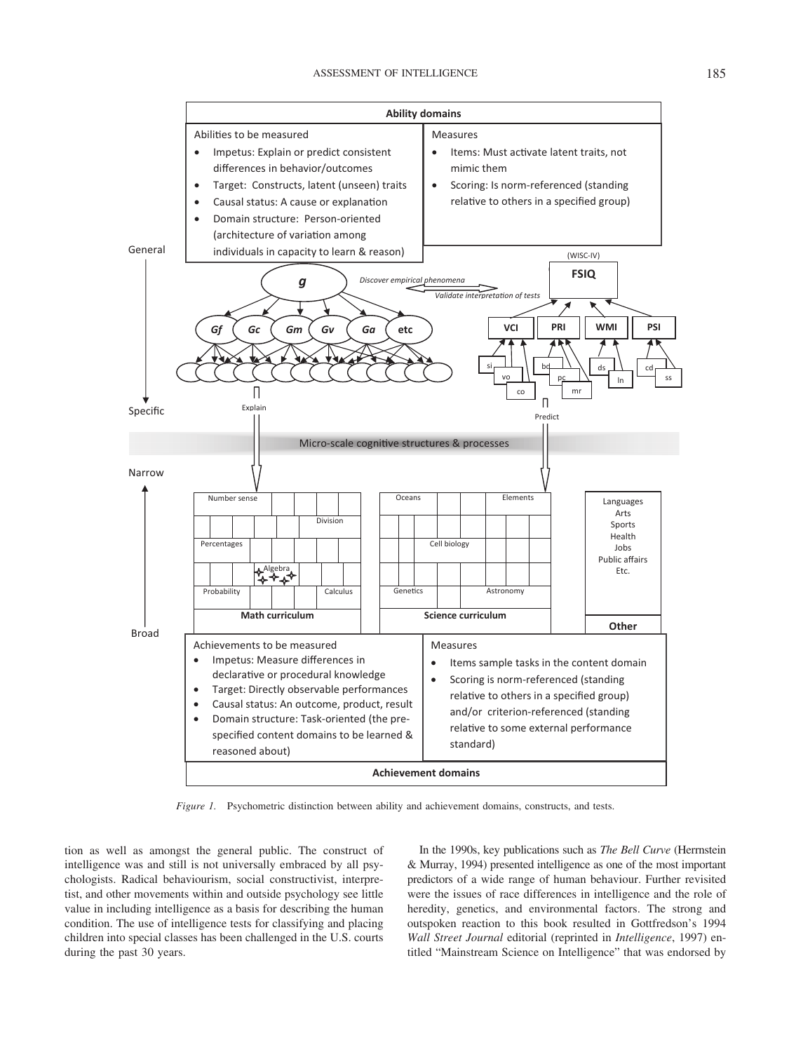

*Figure 1.* Psychometric distinction between ability and achievement domains, constructs, and tests.

tion as well as amongst the general public. The construct of intelligence was and still is not universally embraced by all psychologists. Radical behaviourism, social constructivist, interpretist, and other movements within and outside psychology see little value in including intelligence as a basis for describing the human condition. The use of intelligence tests for classifying and placing children into special classes has been challenged in the U.S. courts during the past 30 years.

In the 1990s, key publications such as *The Bell Curve* (Herrnstein & Murray, 1994) presented intelligence as one of the most important predictors of a wide range of human behaviour. Further revisited were the issues of race differences in intelligence and the role of heredity, genetics, and environmental factors. The strong and outspoken reaction to this book resulted in Gottfredson's 1994 *Wall Street Journal* editorial (reprinted in *Intelligence*, 1997) entitled "Mainstream Science on Intelligence" that was endorsed by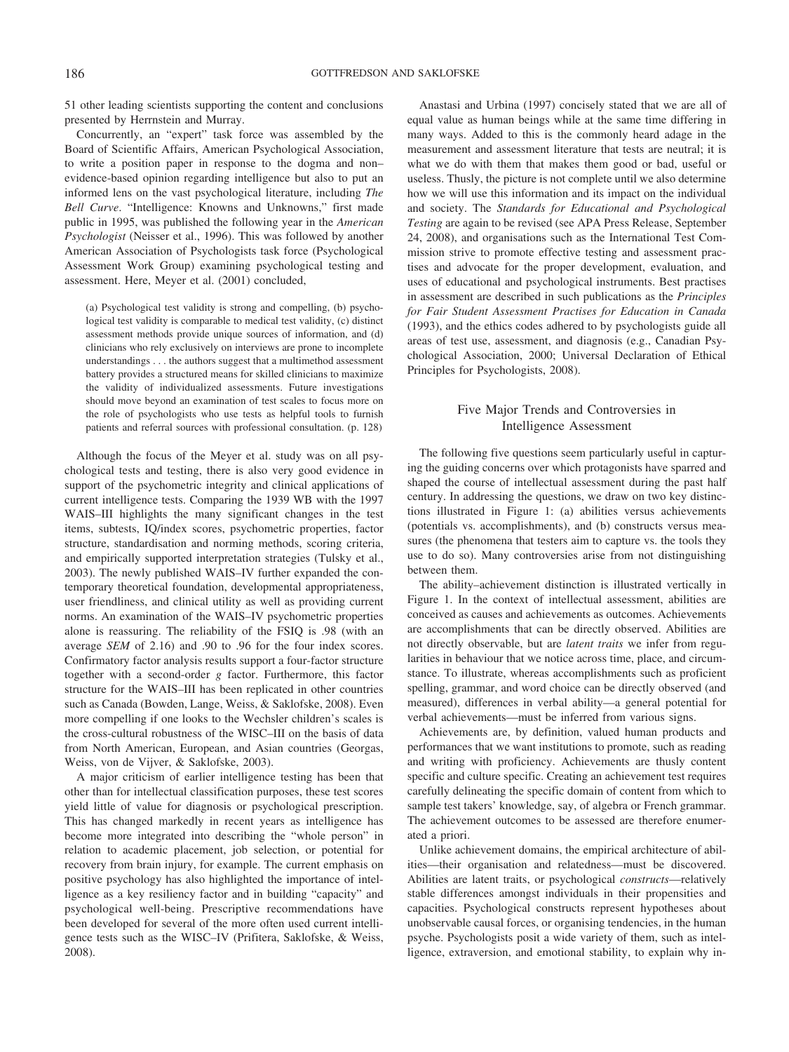51 other leading scientists supporting the content and conclusions presented by Herrnstein and Murray.

Concurrently, an "expert" task force was assembled by the Board of Scientific Affairs, American Psychological Association, to write a position paper in response to the dogma and non– evidence-based opinion regarding intelligence but also to put an informed lens on the vast psychological literature, including *The Bell Curve*. "Intelligence: Knowns and Unknowns," first made public in 1995, was published the following year in the *American Psychologist* (Neisser et al., 1996). This was followed by another American Association of Psychologists task force (Psychological Assessment Work Group) examining psychological testing and assessment. Here, Meyer et al. (2001) concluded,

(a) Psychological test validity is strong and compelling, (b) psychological test validity is comparable to medical test validity, (c) distinct assessment methods provide unique sources of information, and (d) clinicians who rely exclusively on interviews are prone to incomplete understandings . . . the authors suggest that a multimethod assessment battery provides a structured means for skilled clinicians to maximize the validity of individualized assessments. Future investigations should move beyond an examination of test scales to focus more on the role of psychologists who use tests as helpful tools to furnish patients and referral sources with professional consultation. (p. 128)

Although the focus of the Meyer et al. study was on all psychological tests and testing, there is also very good evidence in support of the psychometric integrity and clinical applications of current intelligence tests. Comparing the 1939 WB with the 1997 WAIS–III highlights the many significant changes in the test items, subtests, IQ/index scores, psychometric properties, factor structure, standardisation and norming methods, scoring criteria, and empirically supported interpretation strategies (Tulsky et al., 2003). The newly published WAIS–IV further expanded the contemporary theoretical foundation, developmental appropriateness, user friendliness, and clinical utility as well as providing current norms. An examination of the WAIS–IV psychometric properties alone is reassuring. The reliability of the FSIQ is .98 (with an average *SEM* of 2.16) and .90 to .96 for the four index scores. Confirmatory factor analysis results support a four-factor structure together with a second-order *g* factor. Furthermore, this factor structure for the WAIS–III has been replicated in other countries such as Canada (Bowden, Lange, Weiss, & Saklofske, 2008). Even more compelling if one looks to the Wechsler children's scales is the cross-cultural robustness of the WISC–III on the basis of data from North American, European, and Asian countries (Georgas, Weiss, von de Vijver, & Saklofske, 2003).

A major criticism of earlier intelligence testing has been that other than for intellectual classification purposes, these test scores yield little of value for diagnosis or psychological prescription. This has changed markedly in recent years as intelligence has become more integrated into describing the "whole person" in relation to academic placement, job selection, or potential for recovery from brain injury, for example. The current emphasis on positive psychology has also highlighted the importance of intelligence as a key resiliency factor and in building "capacity" and psychological well-being. Prescriptive recommendations have been developed for several of the more often used current intelligence tests such as the WISC–IV (Prifitera, Saklofske, & Weiss, 2008).

Anastasi and Urbina (1997) concisely stated that we are all of equal value as human beings while at the same time differing in many ways. Added to this is the commonly heard adage in the measurement and assessment literature that tests are neutral; it is what we do with them that makes them good or bad, useful or useless. Thusly, the picture is not complete until we also determine how we will use this information and its impact on the individual and society. The *Standards for Educational and Psychological Testing* are again to be revised (see APA Press Release, September 24, 2008), and organisations such as the International Test Commission strive to promote effective testing and assessment practises and advocate for the proper development, evaluation, and uses of educational and psychological instruments. Best practises in assessment are described in such publications as the *Principles for Fair Student Assessment Practises for Education in Canada* (1993), and the ethics codes adhered to by psychologists guide all areas of test use, assessment, and diagnosis (e.g., Canadian Psychological Association, 2000; Universal Declaration of Ethical Principles for Psychologists, 2008).

#### Five Major Trends and Controversies in Intelligence Assessment

The following five questions seem particularly useful in capturing the guiding concerns over which protagonists have sparred and shaped the course of intellectual assessment during the past half century. In addressing the questions, we draw on two key distinctions illustrated in Figure 1: (a) abilities versus achievements (potentials vs. accomplishments), and (b) constructs versus measures (the phenomena that testers aim to capture vs. the tools they use to do so). Many controversies arise from not distinguishing between them.

The ability–achievement distinction is illustrated vertically in Figure 1. In the context of intellectual assessment, abilities are conceived as causes and achievements as outcomes. Achievements are accomplishments that can be directly observed. Abilities are not directly observable, but are *latent traits* we infer from regularities in behaviour that we notice across time, place, and circumstance. To illustrate, whereas accomplishments such as proficient spelling, grammar, and word choice can be directly observed (and measured), differences in verbal ability—a general potential for verbal achievements—must be inferred from various signs.

Achievements are, by definition, valued human products and performances that we want institutions to promote, such as reading and writing with proficiency. Achievements are thusly content specific and culture specific. Creating an achievement test requires carefully delineating the specific domain of content from which to sample test takers' knowledge, say, of algebra or French grammar. The achievement outcomes to be assessed are therefore enumerated a priori.

Unlike achievement domains, the empirical architecture of abilities—their organisation and relatedness—must be discovered. Abilities are latent traits, or psychological *constructs*—relatively stable differences amongst individuals in their propensities and capacities. Psychological constructs represent hypotheses about unobservable causal forces, or organising tendencies, in the human psyche. Psychologists posit a wide variety of them, such as intelligence, extraversion, and emotional stability, to explain why in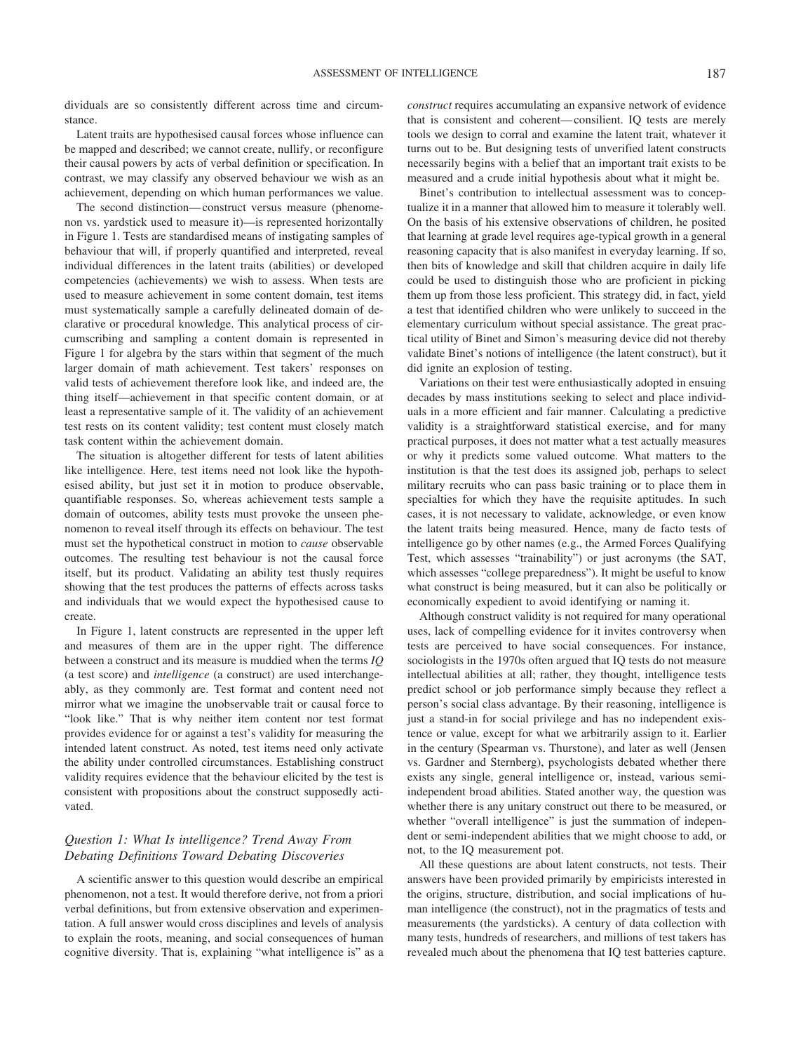dividuals are so consistently different across time and circumstance.

Latent traits are hypothesised causal forces whose influence can be mapped and described; we cannot create, nullify, or reconfigure their causal powers by acts of verbal definition or specification. In contrast, we may classify any observed behaviour we wish as an achievement, depending on which human performances we value.

The second distinction— construct versus measure (phenomenon vs. yardstick used to measure it)—is represented horizontally in Figure 1. Tests are standardised means of instigating samples of behaviour that will, if properly quantified and interpreted, reveal individual differences in the latent traits (abilities) or developed competencies (achievements) we wish to assess. When tests are used to measure achievement in some content domain, test items must systematically sample a carefully delineated domain of declarative or procedural knowledge. This analytical process of circumscribing and sampling a content domain is represented in Figure 1 for algebra by the stars within that segment of the much larger domain of math achievement. Test takers' responses on valid tests of achievement therefore look like, and indeed are, the thing itself—achievement in that specific content domain, or at least a representative sample of it. The validity of an achievement test rests on its content validity; test content must closely match task content within the achievement domain.

The situation is altogether different for tests of latent abilities like intelligence. Here, test items need not look like the hypothesised ability, but just set it in motion to produce observable, quantifiable responses. So, whereas achievement tests sample a domain of outcomes, ability tests must provoke the unseen phenomenon to reveal itself through its effects on behaviour. The test must set the hypothetical construct in motion to *cause* observable outcomes. The resulting test behaviour is not the causal force itself, but its product. Validating an ability test thusly requires showing that the test produces the patterns of effects across tasks and individuals that we would expect the hypothesised cause to create.

In Figure 1, latent constructs are represented in the upper left and measures of them are in the upper right. The difference between a construct and its measure is muddied when the terms *IQ* (a test score) and *intelligence* (a construct) are used interchangeably, as they commonly are. Test format and content need not mirror what we imagine the unobservable trait or causal force to "look like." That is why neither item content nor test format provides evidence for or against a test's validity for measuring the intended latent construct. As noted, test items need only activate the ability under controlled circumstances. Establishing construct validity requires evidence that the behaviour elicited by the test is consistent with propositions about the construct supposedly activated.

## *Question 1: What Is intelligence? Trend Away From Debating Definitions Toward Debating Discoveries*

A scientific answer to this question would describe an empirical phenomenon, not a test. It would therefore derive, not from a priori verbal definitions, but from extensive observation and experimentation. A full answer would cross disciplines and levels of analysis to explain the roots, meaning, and social consequences of human cognitive diversity. That is, explaining "what intelligence is" as a *construct* requires accumulating an expansive network of evidence that is consistent and coherent— consilient. IQ tests are merely tools we design to corral and examine the latent trait, whatever it turns out to be. But designing tests of unverified latent constructs necessarily begins with a belief that an important trait exists to be measured and a crude initial hypothesis about what it might be.

Binet's contribution to intellectual assessment was to conceptualize it in a manner that allowed him to measure it tolerably well. On the basis of his extensive observations of children, he posited that learning at grade level requires age-typical growth in a general reasoning capacity that is also manifest in everyday learning. If so, then bits of knowledge and skill that children acquire in daily life could be used to distinguish those who are proficient in picking them up from those less proficient. This strategy did, in fact, yield a test that identified children who were unlikely to succeed in the elementary curriculum without special assistance. The great practical utility of Binet and Simon's measuring device did not thereby validate Binet's notions of intelligence (the latent construct), but it did ignite an explosion of testing.

Variations on their test were enthusiastically adopted in ensuing decades by mass institutions seeking to select and place individuals in a more efficient and fair manner. Calculating a predictive validity is a straightforward statistical exercise, and for many practical purposes, it does not matter what a test actually measures or why it predicts some valued outcome. What matters to the institution is that the test does its assigned job, perhaps to select military recruits who can pass basic training or to place them in specialties for which they have the requisite aptitudes. In such cases, it is not necessary to validate, acknowledge, or even know the latent traits being measured. Hence, many de facto tests of intelligence go by other names (e.g., the Armed Forces Qualifying Test, which assesses "trainability") or just acronyms (the SAT, which assesses "college preparedness"). It might be useful to know what construct is being measured, but it can also be politically or economically expedient to avoid identifying or naming it.

Although construct validity is not required for many operational uses, lack of compelling evidence for it invites controversy when tests are perceived to have social consequences. For instance, sociologists in the 1970s often argued that IQ tests do not measure intellectual abilities at all; rather, they thought, intelligence tests predict school or job performance simply because they reflect a person's social class advantage. By their reasoning, intelligence is just a stand-in for social privilege and has no independent existence or value, except for what we arbitrarily assign to it. Earlier in the century (Spearman vs. Thurstone), and later as well (Jensen vs. Gardner and Sternberg), psychologists debated whether there exists any single, general intelligence or, instead, various semiindependent broad abilities. Stated another way, the question was whether there is any unitary construct out there to be measured, or whether "overall intelligence" is just the summation of independent or semi-independent abilities that we might choose to add, or not, to the IQ measurement pot.

All these questions are about latent constructs, not tests. Their answers have been provided primarily by empiricists interested in the origins, structure, distribution, and social implications of human intelligence (the construct), not in the pragmatics of tests and measurements (the yardsticks). A century of data collection with many tests, hundreds of researchers, and millions of test takers has revealed much about the phenomena that IQ test batteries capture.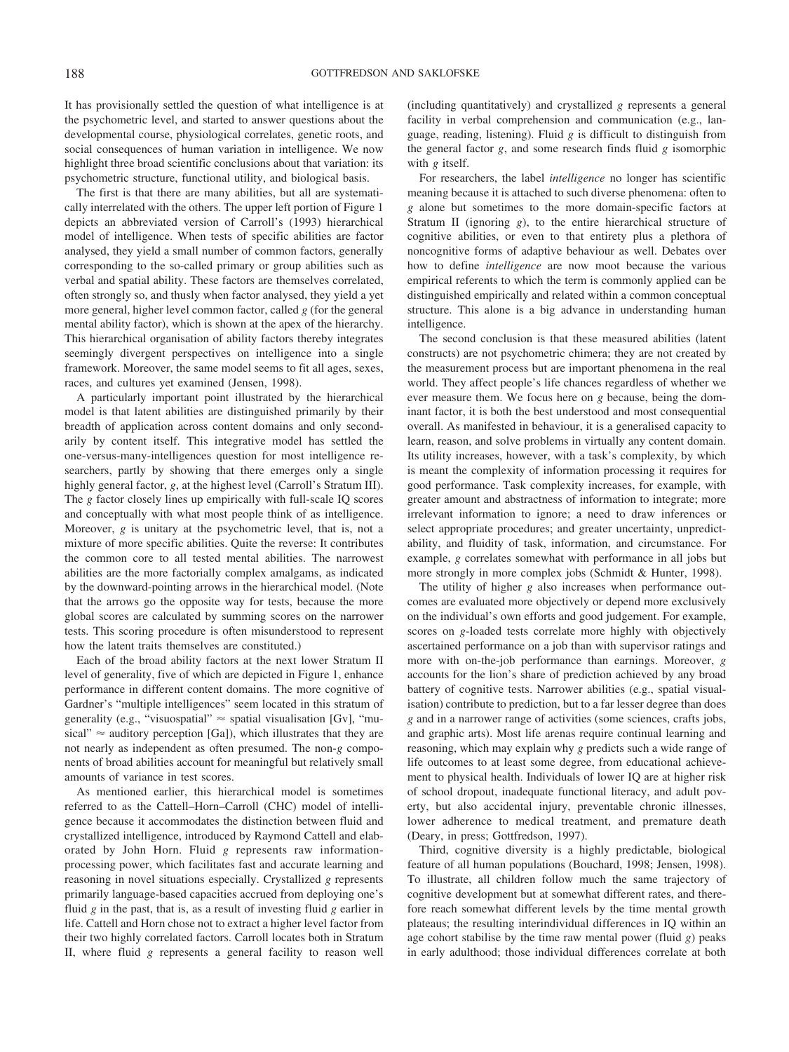It has provisionally settled the question of what intelligence is at the psychometric level, and started to answer questions about the developmental course, physiological correlates, genetic roots, and social consequences of human variation in intelligence. We now highlight three broad scientific conclusions about that variation: its psychometric structure, functional utility, and biological basis.

The first is that there are many abilities, but all are systematically interrelated with the others. The upper left portion of Figure 1 depicts an abbreviated version of Carroll's (1993) hierarchical model of intelligence. When tests of specific abilities are factor analysed, they yield a small number of common factors, generally corresponding to the so-called primary or group abilities such as verbal and spatial ability. These factors are themselves correlated, often strongly so, and thusly when factor analysed, they yield a yet more general, higher level common factor, called *g* (for the general mental ability factor), which is shown at the apex of the hierarchy. This hierarchical organisation of ability factors thereby integrates seemingly divergent perspectives on intelligence into a single framework. Moreover, the same model seems to fit all ages, sexes, races, and cultures yet examined (Jensen, 1998).

A particularly important point illustrated by the hierarchical model is that latent abilities are distinguished primarily by their breadth of application across content domains and only secondarily by content itself. This integrative model has settled the one-versus-many-intelligences question for most intelligence researchers, partly by showing that there emerges only a single highly general factor, *g*, at the highest level (Carroll's Stratum III). The *g* factor closely lines up empirically with full-scale IQ scores and conceptually with what most people think of as intelligence. Moreover, *g* is unitary at the psychometric level, that is, not a mixture of more specific abilities. Quite the reverse: It contributes the common core to all tested mental abilities. The narrowest abilities are the more factorially complex amalgams, as indicated by the downward-pointing arrows in the hierarchical model. (Note that the arrows go the opposite way for tests, because the more global scores are calculated by summing scores on the narrower tests. This scoring procedure is often misunderstood to represent how the latent traits themselves are constituted.)

Each of the broad ability factors at the next lower Stratum II level of generality, five of which are depicted in Figure 1, enhance performance in different content domains. The more cognitive of Gardner's "multiple intelligences" seem located in this stratum of generality (e.g., "visuospatial"  $\approx$  spatial visualisation [Gv], "musical"  $\approx$  auditory perception [Ga]), which illustrates that they are not nearly as independent as often presumed. The non-*g* components of broad abilities account for meaningful but relatively small amounts of variance in test scores.

As mentioned earlier, this hierarchical model is sometimes referred to as the Cattell–Horn–Carroll (CHC) model of intelligence because it accommodates the distinction between fluid and crystallized intelligence, introduced by Raymond Cattell and elaborated by John Horn. Fluid *g* represents raw informationprocessing power, which facilitates fast and accurate learning and reasoning in novel situations especially. Crystallized *g* represents primarily language-based capacities accrued from deploying one's fluid *g* in the past, that is, as a result of investing fluid *g* earlier in life. Cattell and Horn chose not to extract a higher level factor from their two highly correlated factors. Carroll locates both in Stratum II, where fluid *g* represents a general facility to reason well (including quantitatively) and crystallized *g* represents a general facility in verbal comprehension and communication (e.g., language, reading, listening). Fluid *g* is difficult to distinguish from the general factor *g*, and some research finds fluid *g* isomorphic with *g* itself.

For researchers, the label *intelligence* no longer has scientific meaning because it is attached to such diverse phenomena: often to *g* alone but sometimes to the more domain-specific factors at Stratum II (ignoring *g*), to the entire hierarchical structure of cognitive abilities, or even to that entirety plus a plethora of noncognitive forms of adaptive behaviour as well. Debates over how to define *intelligence* are now moot because the various empirical referents to which the term is commonly applied can be distinguished empirically and related within a common conceptual structure. This alone is a big advance in understanding human intelligence.

The second conclusion is that these measured abilities (latent constructs) are not psychometric chimera; they are not created by the measurement process but are important phenomena in the real world. They affect people's life chances regardless of whether we ever measure them. We focus here on *g* because, being the dominant factor, it is both the best understood and most consequential overall. As manifested in behaviour, it is a generalised capacity to learn, reason, and solve problems in virtually any content domain. Its utility increases, however, with a task's complexity, by which is meant the complexity of information processing it requires for good performance. Task complexity increases, for example, with greater amount and abstractness of information to integrate; more irrelevant information to ignore; a need to draw inferences or select appropriate procedures; and greater uncertainty, unpredictability, and fluidity of task, information, and circumstance. For example, *g* correlates somewhat with performance in all jobs but more strongly in more complex jobs (Schmidt & Hunter, 1998).

The utility of higher *g* also increases when performance outcomes are evaluated more objectively or depend more exclusively on the individual's own efforts and good judgement. For example, scores on *g*-loaded tests correlate more highly with objectively ascertained performance on a job than with supervisor ratings and more with on-the-job performance than earnings. Moreover, *g* accounts for the lion's share of prediction achieved by any broad battery of cognitive tests. Narrower abilities (e.g., spatial visualisation) contribute to prediction, but to a far lesser degree than does *g* and in a narrower range of activities (some sciences, crafts jobs, and graphic arts). Most life arenas require continual learning and reasoning, which may explain why *g* predicts such a wide range of life outcomes to at least some degree, from educational achievement to physical health. Individuals of lower IQ are at higher risk of school dropout, inadequate functional literacy, and adult poverty, but also accidental injury, preventable chronic illnesses, lower adherence to medical treatment, and premature death (Deary, in press; Gottfredson, 1997).

Third, cognitive diversity is a highly predictable, biological feature of all human populations (Bouchard, 1998; Jensen, 1998). To illustrate, all children follow much the same trajectory of cognitive development but at somewhat different rates, and therefore reach somewhat different levels by the time mental growth plateaus; the resulting interindividual differences in IQ within an age cohort stabilise by the time raw mental power (fluid *g*) peaks in early adulthood; those individual differences correlate at both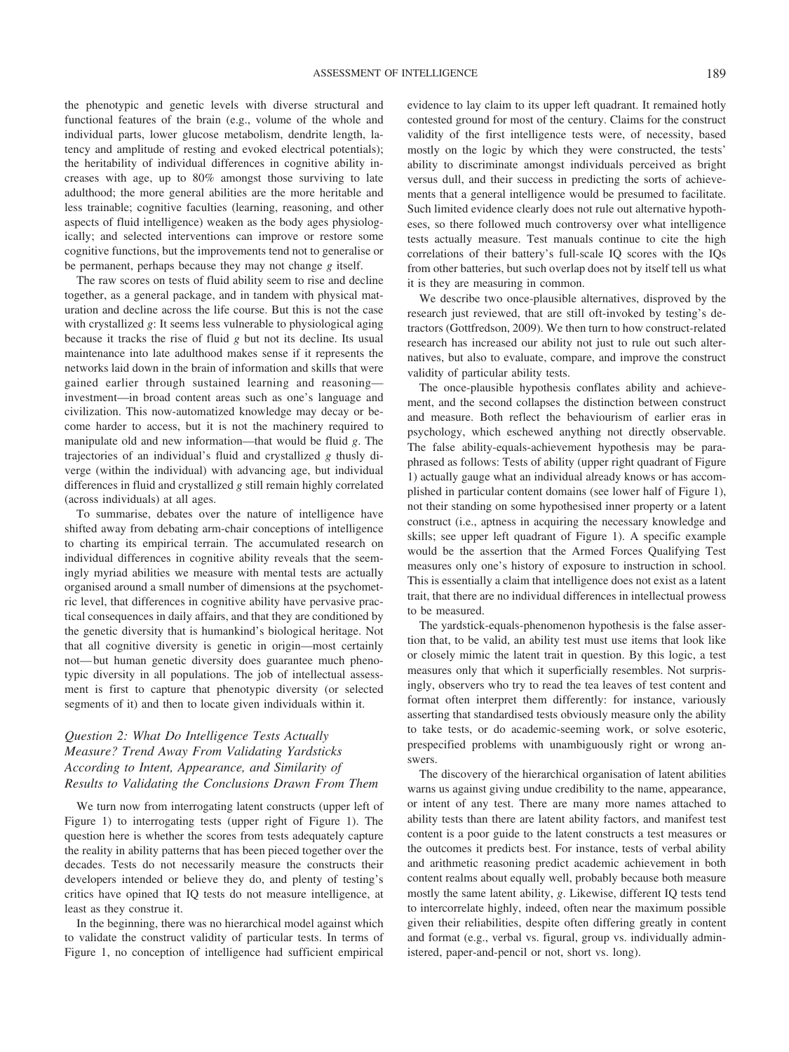the phenotypic and genetic levels with diverse structural and functional features of the brain (e.g., volume of the whole and individual parts, lower glucose metabolism, dendrite length, latency and amplitude of resting and evoked electrical potentials); the heritability of individual differences in cognitive ability increases with age, up to 80% amongst those surviving to late adulthood; the more general abilities are the more heritable and less trainable; cognitive faculties (learning, reasoning, and other aspects of fluid intelligence) weaken as the body ages physiologically; and selected interventions can improve or restore some cognitive functions, but the improvements tend not to generalise or be permanent, perhaps because they may not change *g* itself.

The raw scores on tests of fluid ability seem to rise and decline together, as a general package, and in tandem with physical maturation and decline across the life course. But this is not the case with crystallized *g*: It seems less vulnerable to physiological aging because it tracks the rise of fluid *g* but not its decline. Its usual maintenance into late adulthood makes sense if it represents the networks laid down in the brain of information and skills that were gained earlier through sustained learning and reasoning investment—in broad content areas such as one's language and civilization. This now-automatized knowledge may decay or become harder to access, but it is not the machinery required to manipulate old and new information—that would be fluid *g*. The trajectories of an individual's fluid and crystallized *g* thusly diverge (within the individual) with advancing age, but individual differences in fluid and crystallized *g* still remain highly correlated (across individuals) at all ages.

To summarise, debates over the nature of intelligence have shifted away from debating arm-chair conceptions of intelligence to charting its empirical terrain. The accumulated research on individual differences in cognitive ability reveals that the seemingly myriad abilities we measure with mental tests are actually organised around a small number of dimensions at the psychometric level, that differences in cognitive ability have pervasive practical consequences in daily affairs, and that they are conditioned by the genetic diversity that is humankind's biological heritage. Not that all cognitive diversity is genetic in origin—most certainly not— but human genetic diversity does guarantee much phenotypic diversity in all populations. The job of intellectual assessment is first to capture that phenotypic diversity (or selected segments of it) and then to locate given individuals within it.

## *Question 2: What Do Intelligence Tests Actually Measure? Trend Away From Validating Yardsticks According to Intent, Appearance, and Similarity of Results to Validating the Conclusions Drawn From Them*

We turn now from interrogating latent constructs (upper left of Figure 1) to interrogating tests (upper right of Figure 1). The question here is whether the scores from tests adequately capture the reality in ability patterns that has been pieced together over the decades. Tests do not necessarily measure the constructs their developers intended or believe they do, and plenty of testing's critics have opined that IQ tests do not measure intelligence, at least as they construe it.

In the beginning, there was no hierarchical model against which to validate the construct validity of particular tests. In terms of Figure 1, no conception of intelligence had sufficient empirical evidence to lay claim to its upper left quadrant. It remained hotly contested ground for most of the century. Claims for the construct validity of the first intelligence tests were, of necessity, based mostly on the logic by which they were constructed, the tests' ability to discriminate amongst individuals perceived as bright versus dull, and their success in predicting the sorts of achievements that a general intelligence would be presumed to facilitate. Such limited evidence clearly does not rule out alternative hypotheses, so there followed much controversy over what intelligence tests actually measure. Test manuals continue to cite the high correlations of their battery's full-scale IQ scores with the IQs from other batteries, but such overlap does not by itself tell us what it is they are measuring in common.

We describe two once-plausible alternatives, disproved by the research just reviewed, that are still oft-invoked by testing's detractors (Gottfredson, 2009). We then turn to how construct-related research has increased our ability not just to rule out such alternatives, but also to evaluate, compare, and improve the construct validity of particular ability tests.

The once-plausible hypothesis conflates ability and achievement, and the second collapses the distinction between construct and measure. Both reflect the behaviourism of earlier eras in psychology, which eschewed anything not directly observable. The false ability-equals-achievement hypothesis may be paraphrased as follows: Tests of ability (upper right quadrant of Figure 1) actually gauge what an individual already knows or has accomplished in particular content domains (see lower half of Figure 1), not their standing on some hypothesised inner property or a latent construct (i.e., aptness in acquiring the necessary knowledge and skills; see upper left quadrant of Figure 1). A specific example would be the assertion that the Armed Forces Qualifying Test measures only one's history of exposure to instruction in school. This is essentially a claim that intelligence does not exist as a latent trait, that there are no individual differences in intellectual prowess to be measured.

The yardstick-equals-phenomenon hypothesis is the false assertion that, to be valid, an ability test must use items that look like or closely mimic the latent trait in question. By this logic, a test measures only that which it superficially resembles. Not surprisingly, observers who try to read the tea leaves of test content and format often interpret them differently: for instance, variously asserting that standardised tests obviously measure only the ability to take tests, or do academic-seeming work, or solve esoteric, prespecified problems with unambiguously right or wrong answers.

The discovery of the hierarchical organisation of latent abilities warns us against giving undue credibility to the name, appearance, or intent of any test. There are many more names attached to ability tests than there are latent ability factors, and manifest test content is a poor guide to the latent constructs a test measures or the outcomes it predicts best. For instance, tests of verbal ability and arithmetic reasoning predict academic achievement in both content realms about equally well, probably because both measure mostly the same latent ability, *g*. Likewise, different IQ tests tend to intercorrelate highly, indeed, often near the maximum possible given their reliabilities, despite often differing greatly in content and format (e.g., verbal vs. figural, group vs. individually administered, paper-and-pencil or not, short vs. long).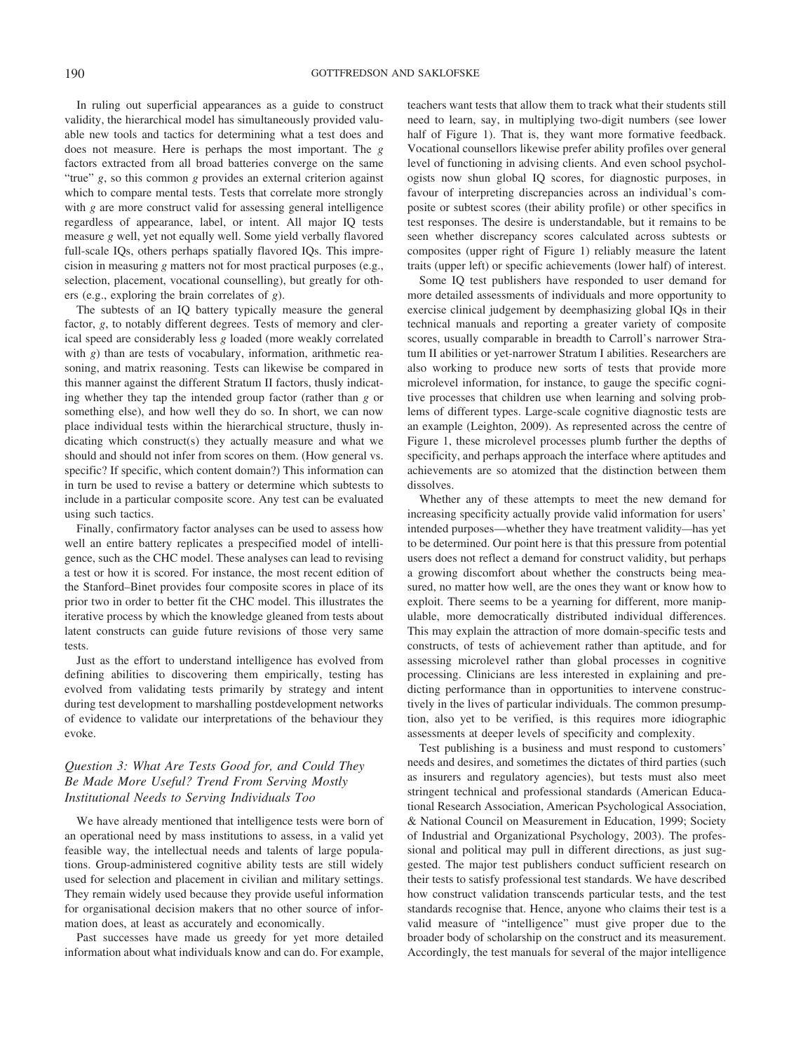In ruling out superficial appearances as a guide to construct validity, the hierarchical model has simultaneously provided valuable new tools and tactics for determining what a test does and does not measure. Here is perhaps the most important. The *g* factors extracted from all broad batteries converge on the same "true" *g*, so this common *g* provides an external criterion against which to compare mental tests. Tests that correlate more strongly with *g* are more construct valid for assessing general intelligence regardless of appearance, label, or intent. All major IQ tests measure *g* well, yet not equally well. Some yield verbally flavored full-scale IQs, others perhaps spatially flavored IQs. This imprecision in measuring *g* matters not for most practical purposes (e.g., selection, placement, vocational counselling), but greatly for others (e.g., exploring the brain correlates of *g*).

The subtests of an IQ battery typically measure the general factor, *g*, to notably different degrees. Tests of memory and clerical speed are considerably less *g* loaded (more weakly correlated with *g*) than are tests of vocabulary, information, arithmetic reasoning, and matrix reasoning. Tests can likewise be compared in this manner against the different Stratum II factors, thusly indicating whether they tap the intended group factor (rather than *g* or something else), and how well they do so. In short, we can now place individual tests within the hierarchical structure, thusly indicating which construct(s) they actually measure and what we should and should not infer from scores on them. (How general vs. specific? If specific, which content domain?) This information can in turn be used to revise a battery or determine which subtests to include in a particular composite score. Any test can be evaluated using such tactics.

Finally, confirmatory factor analyses can be used to assess how well an entire battery replicates a prespecified model of intelligence, such as the CHC model. These analyses can lead to revising a test or how it is scored. For instance, the most recent edition of the Stanford–Binet provides four composite scores in place of its prior two in order to better fit the CHC model. This illustrates the iterative process by which the knowledge gleaned from tests about latent constructs can guide future revisions of those very same tests.

Just as the effort to understand intelligence has evolved from defining abilities to discovering them empirically, testing has evolved from validating tests primarily by strategy and intent during test development to marshalling postdevelopment networks of evidence to validate our interpretations of the behaviour they evoke.

## *Question 3: What Are Tests Good for, and Could They Be Made More Useful? Trend From Serving Mostly Institutional Needs to Serving Individuals Too*

We have already mentioned that intelligence tests were born of an operational need by mass institutions to assess, in a valid yet feasible way, the intellectual needs and talents of large populations. Group-administered cognitive ability tests are still widely used for selection and placement in civilian and military settings. They remain widely used because they provide useful information for organisational decision makers that no other source of information does, at least as accurately and economically.

Past successes have made us greedy for yet more detailed information about what individuals know and can do. For example, teachers want tests that allow them to track what their students still need to learn, say, in multiplying two-digit numbers (see lower half of Figure 1). That is, they want more formative feedback. Vocational counsellors likewise prefer ability profiles over general level of functioning in advising clients. And even school psychologists now shun global IQ scores, for diagnostic purposes, in favour of interpreting discrepancies across an individual's composite or subtest scores (their ability profile) or other specifics in test responses. The desire is understandable, but it remains to be seen whether discrepancy scores calculated across subtests or composites (upper right of Figure 1) reliably measure the latent traits (upper left) or specific achievements (lower half) of interest.

Some IQ test publishers have responded to user demand for more detailed assessments of individuals and more opportunity to exercise clinical judgement by deemphasizing global IQs in their technical manuals and reporting a greater variety of composite scores, usually comparable in breadth to Carroll's narrower Stratum II abilities or yet-narrower Stratum I abilities. Researchers are also working to produce new sorts of tests that provide more microlevel information, for instance, to gauge the specific cognitive processes that children use when learning and solving problems of different types. Large-scale cognitive diagnostic tests are an example (Leighton, 2009). As represented across the centre of Figure 1, these microlevel processes plumb further the depths of specificity, and perhaps approach the interface where aptitudes and achievements are so atomized that the distinction between them dissolves.

Whether any of these attempts to meet the new demand for increasing specificity actually provide valid information for users' intended purposes—whether they have treatment validity*—*has yet to be determined. Our point here is that this pressure from potential users does not reflect a demand for construct validity, but perhaps a growing discomfort about whether the constructs being measured, no matter how well, are the ones they want or know how to exploit. There seems to be a yearning for different, more manipulable, more democratically distributed individual differences. This may explain the attraction of more domain-specific tests and constructs, of tests of achievement rather than aptitude, and for assessing microlevel rather than global processes in cognitive processing. Clinicians are less interested in explaining and predicting performance than in opportunities to intervene constructively in the lives of particular individuals. The common presumption, also yet to be verified, is this requires more idiographic assessments at deeper levels of specificity and complexity.

Test publishing is a business and must respond to customers' needs and desires, and sometimes the dictates of third parties (such as insurers and regulatory agencies), but tests must also meet stringent technical and professional standards (American Educational Research Association, American Psychological Association, & National Council on Measurement in Education, 1999; Society of Industrial and Organizational Psychology, 2003). The professional and political may pull in different directions, as just suggested. The major test publishers conduct sufficient research on their tests to satisfy professional test standards. We have described how construct validation transcends particular tests, and the test standards recognise that. Hence, anyone who claims their test is a valid measure of "intelligence" must give proper due to the broader body of scholarship on the construct and its measurement. Accordingly, the test manuals for several of the major intelligence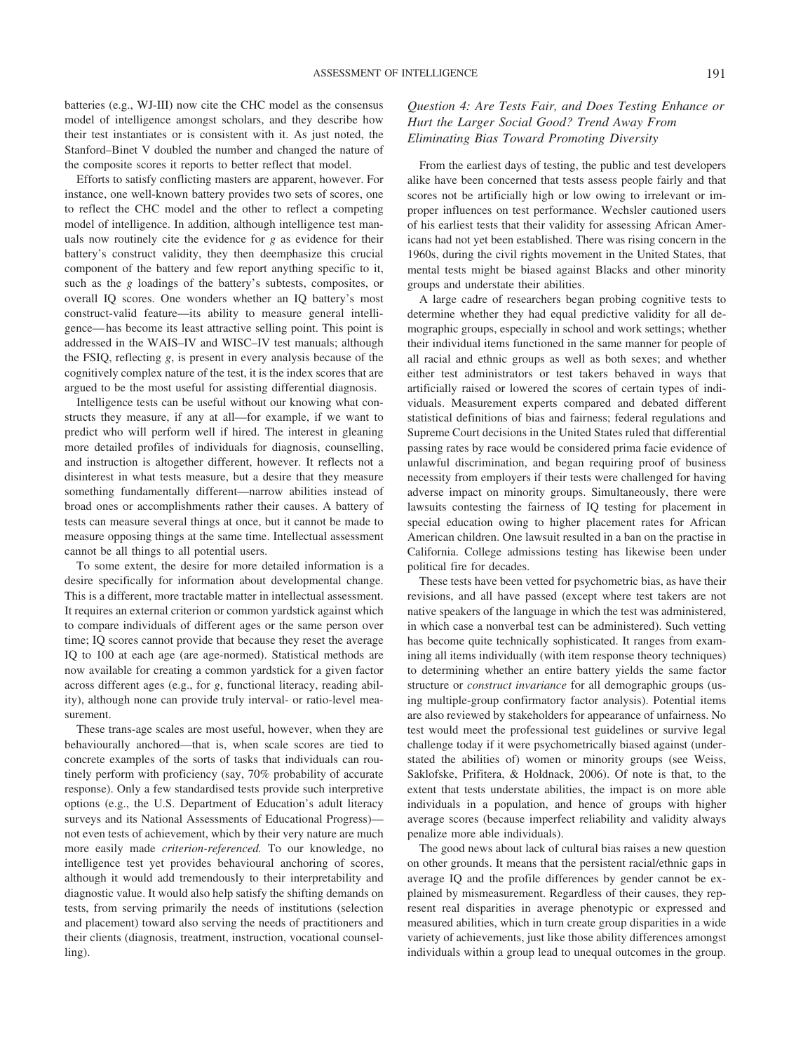batteries (e.g., WJ-III) now cite the CHC model as the consensus model of intelligence amongst scholars, and they describe how their test instantiates or is consistent with it. As just noted, the Stanford–Binet V doubled the number and changed the nature of the composite scores it reports to better reflect that model.

Efforts to satisfy conflicting masters are apparent, however. For instance, one well-known battery provides two sets of scores, one to reflect the CHC model and the other to reflect a competing model of intelligence. In addition, although intelligence test manuals now routinely cite the evidence for *g* as evidence for their battery's construct validity, they then deemphasize this crucial component of the battery and few report anything specific to it, such as the *g* loadings of the battery's subtests, composites, or overall IQ scores. One wonders whether an IQ battery's most construct-valid feature—its ability to measure general intelligence— has become its least attractive selling point. This point is addressed in the WAIS–IV and WISC–IV test manuals; although the FSIQ, reflecting *g*, is present in every analysis because of the cognitively complex nature of the test, it is the index scores that are argued to be the most useful for assisting differential diagnosis.

Intelligence tests can be useful without our knowing what constructs they measure, if any at all—for example, if we want to predict who will perform well if hired. The interest in gleaning more detailed profiles of individuals for diagnosis, counselling, and instruction is altogether different, however. It reflects not a disinterest in what tests measure, but a desire that they measure something fundamentally different—narrow abilities instead of broad ones or accomplishments rather their causes. A battery of tests can measure several things at once, but it cannot be made to measure opposing things at the same time. Intellectual assessment cannot be all things to all potential users.

To some extent, the desire for more detailed information is a desire specifically for information about developmental change. This is a different, more tractable matter in intellectual assessment. It requires an external criterion or common yardstick against which to compare individuals of different ages or the same person over time; IQ scores cannot provide that because they reset the average IQ to 100 at each age (are age-normed). Statistical methods are now available for creating a common yardstick for a given factor across different ages (e.g., for *g*, functional literacy, reading ability), although none can provide truly interval- or ratio-level measurement.

These trans-age scales are most useful, however, when they are behaviourally anchored—that is, when scale scores are tied to concrete examples of the sorts of tasks that individuals can routinely perform with proficiency (say, 70% probability of accurate response). Only a few standardised tests provide such interpretive options (e.g., the U.S. Department of Education's adult literacy surveys and its National Assessments of Educational Progress) not even tests of achievement, which by their very nature are much more easily made *criterion-referenced.* To our knowledge, no intelligence test yet provides behavioural anchoring of scores, although it would add tremendously to their interpretability and diagnostic value. It would also help satisfy the shifting demands on tests, from serving primarily the needs of institutions (selection and placement) toward also serving the needs of practitioners and their clients (diagnosis, treatment, instruction, vocational counselling).

## *Question 4: Are Tests Fair, and Does Testing Enhance or Hurt the Larger Social Good? Trend Away From Eliminating Bias Toward Promoting Diversity*

From the earliest days of testing, the public and test developers alike have been concerned that tests assess people fairly and that scores not be artificially high or low owing to irrelevant or improper influences on test performance. Wechsler cautioned users of his earliest tests that their validity for assessing African Americans had not yet been established. There was rising concern in the 1960s, during the civil rights movement in the United States, that mental tests might be biased against Blacks and other minority groups and understate their abilities.

A large cadre of researchers began probing cognitive tests to determine whether they had equal predictive validity for all demographic groups, especially in school and work settings; whether their individual items functioned in the same manner for people of all racial and ethnic groups as well as both sexes; and whether either test administrators or test takers behaved in ways that artificially raised or lowered the scores of certain types of individuals. Measurement experts compared and debated different statistical definitions of bias and fairness; federal regulations and Supreme Court decisions in the United States ruled that differential passing rates by race would be considered prima facie evidence of unlawful discrimination, and began requiring proof of business necessity from employers if their tests were challenged for having adverse impact on minority groups. Simultaneously, there were lawsuits contesting the fairness of IQ testing for placement in special education owing to higher placement rates for African American children. One lawsuit resulted in a ban on the practise in California. College admissions testing has likewise been under political fire for decades.

These tests have been vetted for psychometric bias, as have their revisions, and all have passed (except where test takers are not native speakers of the language in which the test was administered, in which case a nonverbal test can be administered). Such vetting has become quite technically sophisticated. It ranges from examining all items individually (with item response theory techniques) to determining whether an entire battery yields the same factor structure or *construct invariance* for all demographic groups (using multiple-group confirmatory factor analysis). Potential items are also reviewed by stakeholders for appearance of unfairness. No test would meet the professional test guidelines or survive legal challenge today if it were psychometrically biased against (understated the abilities of) women or minority groups (see Weiss, Saklofske, Prifitera, & Holdnack, 2006). Of note is that, to the extent that tests understate abilities, the impact is on more able individuals in a population, and hence of groups with higher average scores (because imperfect reliability and validity always penalize more able individuals).

The good news about lack of cultural bias raises a new question on other grounds. It means that the persistent racial/ethnic gaps in average IQ and the profile differences by gender cannot be explained by mismeasurement. Regardless of their causes, they represent real disparities in average phenotypic or expressed and measured abilities, which in turn create group disparities in a wide variety of achievements, just like those ability differences amongst individuals within a group lead to unequal outcomes in the group.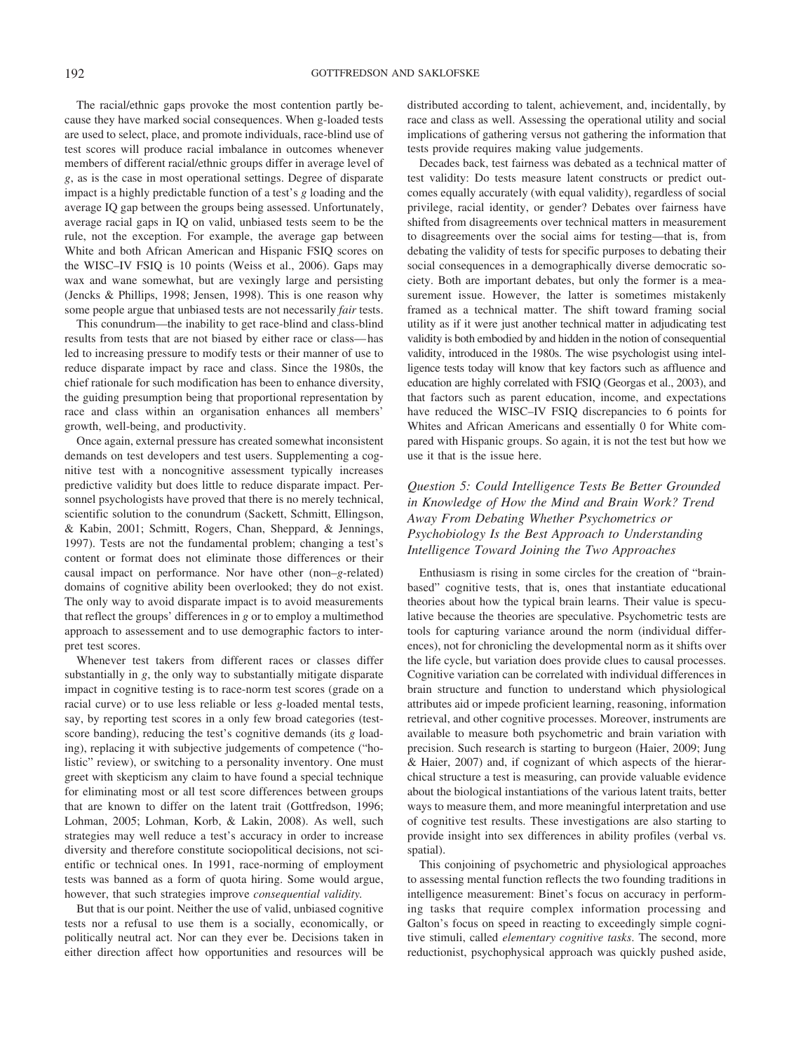The racial/ethnic gaps provoke the most contention partly because they have marked social consequences. When g-loaded tests are used to select, place, and promote individuals, race-blind use of test scores will produce racial imbalance in outcomes whenever members of different racial/ethnic groups differ in average level of *g*, as is the case in most operational settings. Degree of disparate impact is a highly predictable function of a test's *g* loading and the average IQ gap between the groups being assessed. Unfortunately, average racial gaps in IQ on valid, unbiased tests seem to be the rule, not the exception. For example, the average gap between White and both African American and Hispanic FSIQ scores on the WISC–IV FSIQ is 10 points (Weiss et al., 2006). Gaps may wax and wane somewhat, but are vexingly large and persisting (Jencks & Phillips, 1998; Jensen, 1998). This is one reason why some people argue that unbiased tests are not necessarily *fair* tests.

This conundrum—the inability to get race-blind and class-blind results from tests that are not biased by either race or class— has led to increasing pressure to modify tests or their manner of use to reduce disparate impact by race and class. Since the 1980s, the chief rationale for such modification has been to enhance diversity, the guiding presumption being that proportional representation by race and class within an organisation enhances all members' growth, well-being, and productivity.

Once again, external pressure has created somewhat inconsistent demands on test developers and test users. Supplementing a cognitive test with a noncognitive assessment typically increases predictive validity but does little to reduce disparate impact. Personnel psychologists have proved that there is no merely technical, scientific solution to the conundrum (Sackett, Schmitt, Ellingson, & Kabin, 2001; Schmitt, Rogers, Chan, Sheppard, & Jennings, 1997). Tests are not the fundamental problem; changing a test's content or format does not eliminate those differences or their causal impact on performance. Nor have other (non–*g*-related) domains of cognitive ability been overlooked; they do not exist. The only way to avoid disparate impact is to avoid measurements that reflect the groups' differences in *g* or to employ a multimethod approach to assessement and to use demographic factors to interpret test scores.

Whenever test takers from different races or classes differ substantially in *g*, the only way to substantially mitigate disparate impact in cognitive testing is to race-norm test scores (grade on a racial curve) or to use less reliable or less *g*-loaded mental tests, say, by reporting test scores in a only few broad categories (testscore banding), reducing the test's cognitive demands (its *g* loading), replacing it with subjective judgements of competence ("holistic" review), or switching to a personality inventory. One must greet with skepticism any claim to have found a special technique for eliminating most or all test score differences between groups that are known to differ on the latent trait (Gottfredson, 1996; Lohman, 2005; Lohman, Korb, & Lakin, 2008). As well, such strategies may well reduce a test's accuracy in order to increase diversity and therefore constitute sociopolitical decisions, not scientific or technical ones. In 1991, race-norming of employment tests was banned as a form of quota hiring. Some would argue, however, that such strategies improve *consequential validity.*

But that is our point. Neither the use of valid, unbiased cognitive tests nor a refusal to use them is a socially, economically, or politically neutral act. Nor can they ever be. Decisions taken in either direction affect how opportunities and resources will be distributed according to talent, achievement, and, incidentally, by race and class as well. Assessing the operational utility and social implications of gathering versus not gathering the information that tests provide requires making value judgements.

Decades back, test fairness was debated as a technical matter of test validity: Do tests measure latent constructs or predict outcomes equally accurately (with equal validity), regardless of social privilege, racial identity, or gender? Debates over fairness have shifted from disagreements over technical matters in measurement to disagreements over the social aims for testing—that is, from debating the validity of tests for specific purposes to debating their social consequences in a demographically diverse democratic society. Both are important debates, but only the former is a measurement issue. However, the latter is sometimes mistakenly framed as a technical matter. The shift toward framing social utility as if it were just another technical matter in adjudicating test validity is both embodied by and hidden in the notion of consequential validity, introduced in the 1980s. The wise psychologist using intelligence tests today will know that key factors such as affluence and education are highly correlated with FSIQ (Georgas et al., 2003), and that factors such as parent education, income, and expectations have reduced the WISC–IV FSIQ discrepancies to 6 points for Whites and African Americans and essentially 0 for White compared with Hispanic groups. So again, it is not the test but how we use it that is the issue here.

## *Question 5: Could Intelligence Tests Be Better Grounded in Knowledge of How the Mind and Brain Work? Trend Away From Debating Whether Psychometrics or Psychobiology Is the Best Approach to Understanding Intelligence Toward Joining the Two Approaches*

Enthusiasm is rising in some circles for the creation of "brainbased" cognitive tests, that is, ones that instantiate educational theories about how the typical brain learns. Their value is speculative because the theories are speculative. Psychometric tests are tools for capturing variance around the norm (individual differences), not for chronicling the developmental norm as it shifts over the life cycle, but variation does provide clues to causal processes. Cognitive variation can be correlated with individual differences in brain structure and function to understand which physiological attributes aid or impede proficient learning, reasoning, information retrieval, and other cognitive processes. Moreover, instruments are available to measure both psychometric and brain variation with precision. Such research is starting to burgeon (Haier, 2009; Jung & Haier, 2007) and, if cognizant of which aspects of the hierarchical structure a test is measuring, can provide valuable evidence about the biological instantiations of the various latent traits, better ways to measure them, and more meaningful interpretation and use of cognitive test results. These investigations are also starting to provide insight into sex differences in ability profiles (verbal vs. spatial).

This conjoining of psychometric and physiological approaches to assessing mental function reflects the two founding traditions in intelligence measurement: Binet's focus on accuracy in performing tasks that require complex information processing and Galton's focus on speed in reacting to exceedingly simple cognitive stimuli, called *elementary cognitive tasks*. The second, more reductionist, psychophysical approach was quickly pushed aside,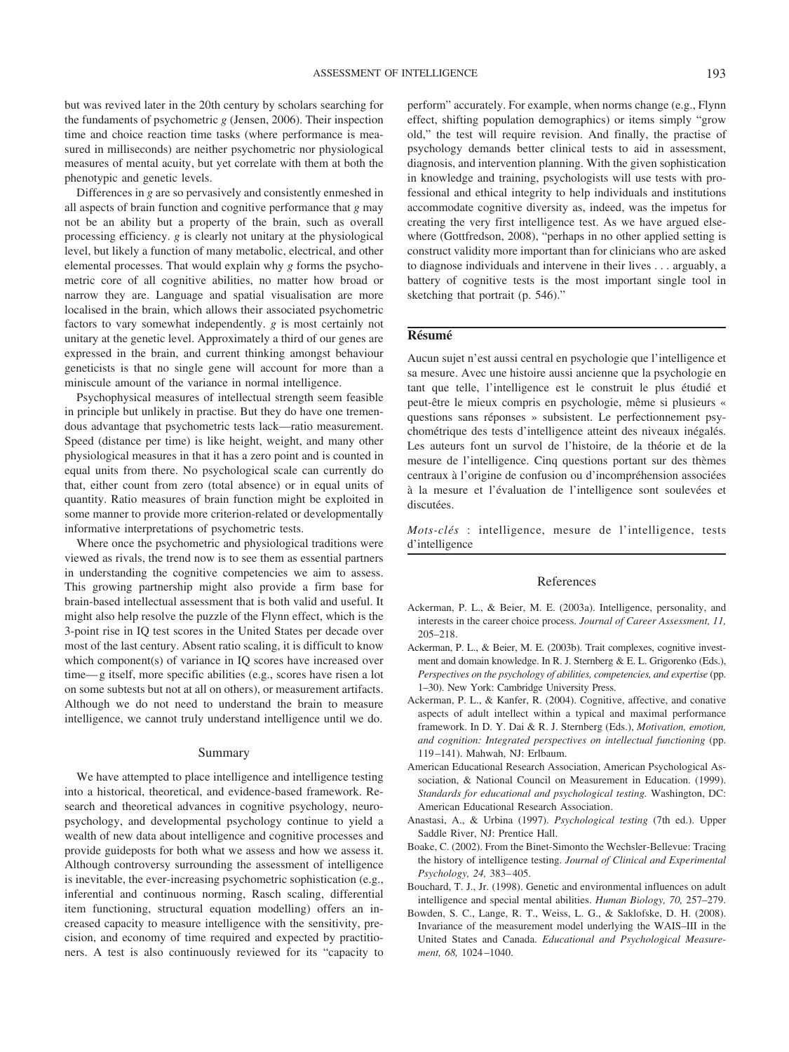but was revived later in the 20th century by scholars searching for the fundaments of psychometric *g* (Jensen, 2006). Their inspection time and choice reaction time tasks (where performance is measured in milliseconds) are neither psychometric nor physiological measures of mental acuity, but yet correlate with them at both the phenotypic and genetic levels.

Differences in *g* are so pervasively and consistently enmeshed in all aspects of brain function and cognitive performance that *g* may not be an ability but a property of the brain, such as overall processing efficiency. *g* is clearly not unitary at the physiological level, but likely a function of many metabolic, electrical, and other elemental processes. That would explain why *g* forms the psychometric core of all cognitive abilities, no matter how broad or narrow they are. Language and spatial visualisation are more localised in the brain, which allows their associated psychometric factors to vary somewhat independently. *g* is most certainly not unitary at the genetic level. Approximately a third of our genes are expressed in the brain, and current thinking amongst behaviour geneticists is that no single gene will account for more than a miniscule amount of the variance in normal intelligence.

Psychophysical measures of intellectual strength seem feasible in principle but unlikely in practise. But they do have one tremendous advantage that psychometric tests lack—ratio measurement. Speed (distance per time) is like height, weight, and many other physiological measures in that it has a zero point and is counted in equal units from there. No psychological scale can currently do that, either count from zero (total absence) or in equal units of quantity. Ratio measures of brain function might be exploited in some manner to provide more criterion-related or developmentally informative interpretations of psychometric tests.

Where once the psychometric and physiological traditions were viewed as rivals, the trend now is to see them as essential partners in understanding the cognitive competencies we aim to assess. This growing partnership might also provide a firm base for brain-based intellectual assessment that is both valid and useful. It might also help resolve the puzzle of the Flynn effect, which is the 3-point rise in IQ test scores in the United States per decade over most of the last century. Absent ratio scaling, it is difficult to know which component(s) of variance in IQ scores have increased over time— g itself, more specific abilities (e.g., scores have risen a lot on some subtests but not at all on others), or measurement artifacts. Although we do not need to understand the brain to measure intelligence, we cannot truly understand intelligence until we do.

#### Summary

We have attempted to place intelligence and intelligence testing into a historical, theoretical, and evidence-based framework. Research and theoretical advances in cognitive psychology, neuropsychology, and developmental psychology continue to yield a wealth of new data about intelligence and cognitive processes and provide guideposts for both what we assess and how we assess it. Although controversy surrounding the assessment of intelligence is inevitable, the ever-increasing psychometric sophistication (e.g., inferential and continuous norming, Rasch scaling, differential item functioning, structural equation modelling) offers an increased capacity to measure intelligence with the sensitivity, precision, and economy of time required and expected by practitioners. A test is also continuously reviewed for its "capacity to

perform" accurately. For example, when norms change (e.g., Flynn effect, shifting population demographics) or items simply "grow old," the test will require revision. And finally, the practise of psychology demands better clinical tests to aid in assessment, diagnosis, and intervention planning. With the given sophistication in knowledge and training, psychologists will use tests with professional and ethical integrity to help individuals and institutions accommodate cognitive diversity as, indeed, was the impetus for creating the very first intelligence test. As we have argued elsewhere (Gottfredson, 2008), "perhaps in no other applied setting is construct validity more important than for clinicians who are asked to diagnose individuals and intervene in their lives . . . arguably, a battery of cognitive tests is the most important single tool in sketching that portrait (p. 546)."

#### **Re´sume´**

Aucun sujet n'est aussi central en psychologie que l'intelligence et sa mesure. Avec une histoire aussi ancienne que la psychologie en tant que telle, l'intelligence est le construit le plus étudié et peut-être le mieux compris en psychologie, même si plusieurs « questions sans réponses » subsistent. Le perfectionnement psychométrique des tests d'intelligence atteint des niveaux inégalés. Les auteurs font un survol de l'histoire, de la théorie et de la mesure de l'intelligence. Cinq questions portant sur des thèmes centraux à l'origine de confusion ou d'incompréhension associées à la mesure et l'évaluation de l'intelligence sont soulevées et discutées.

*Mots-clés* : intelligence, mesure de l'intelligence, tests d'intelligence

#### References

- Ackerman, P. L., & Beier, M. E. (2003a). Intelligence, personality, and interests in the career choice process. *Journal of Career Assessment, 11,* 205–218.
- Ackerman, P. L., & Beier, M. E. (2003b). Trait complexes, cognitive investment and domain knowledge. In R. J. Sternberg & E. L. Grigorenko (Eds.), *Perspectives on the psychology of abilities, competencies, and expertise* (pp. 1–30). New York: Cambridge University Press.
- Ackerman, P. L., & Kanfer, R. (2004). Cognitive, affective, and conative aspects of adult intellect within a typical and maximal performance framework. In D. Y. Dai & R. J. Sternberg (Eds.), *Motivation, emotion, and cognition: Integrated perspectives on intellectual functioning* (pp. 119 –141). Mahwah, NJ: Erlbaum.
- American Educational Research Association, American Psychological Association, & National Council on Measurement in Education. (1999). *Standards for educational and psychological testing.* Washington, DC: American Educational Research Association.
- Anastasi, A., & Urbina (1997). *Psychological testing* (7th ed.). Upper Saddle River, NJ: Prentice Hall.
- Boake, C. (2002). From the Binet-Simonto the Wechsler-Bellevue: Tracing the history of intelligence testing. *Journal of Clinical and Experimental Psychology, 24,* 383– 405.
- Bouchard, T. J., Jr. (1998). Genetic and environmental influences on adult intelligence and special mental abilities. *Human Biology, 70,* 257–279.
- Bowden, S. C., Lange, R. T., Weiss, L. G., & Saklofske, D. H. (2008). Invariance of the measurement model underlying the WAIS–III in the United States and Canada. *Educational and Psychological Measurement, 68,* 1024 –1040.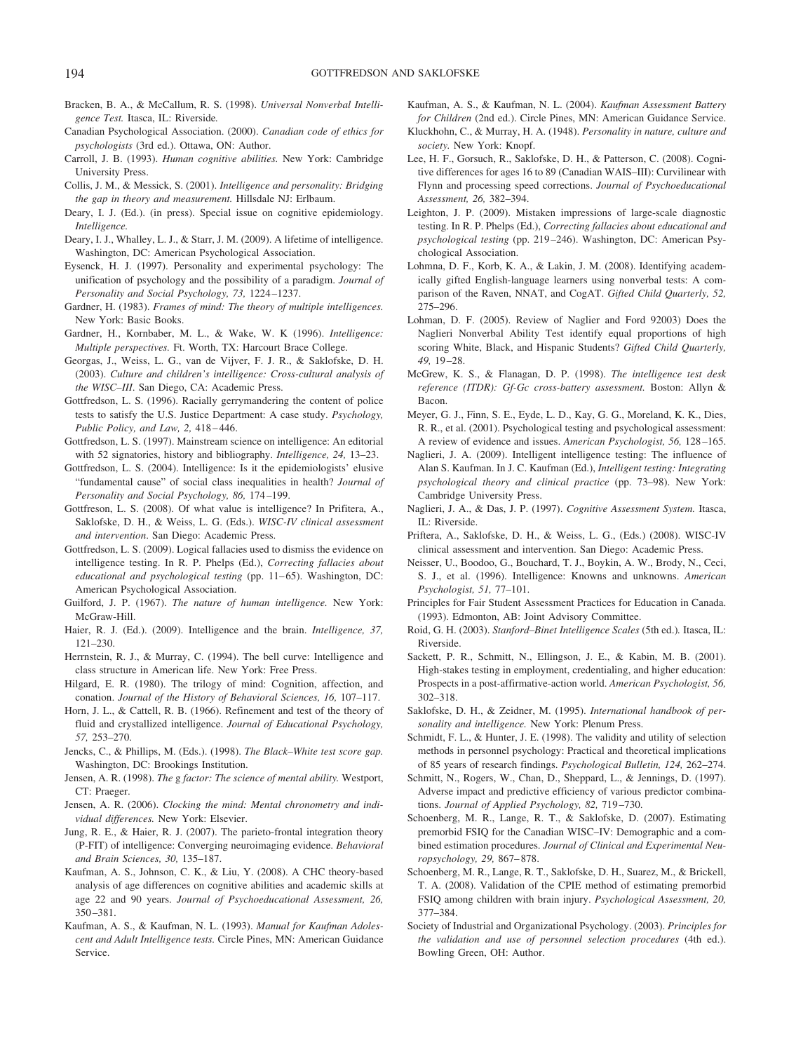- Bracken, B. A., & McCallum, R. S. (1998). *Universal Nonverbal Intelligence Test.* Itasca, IL: Riverside*.*
- Canadian Psychological Association. (2000). *Canadian code of ethics for psychologists* (3rd ed.). Ottawa, ON: Author.
- Carroll, J. B. (1993). *Human cognitive abilities.* New York: Cambridge University Press.
- Collis, J. M., & Messick, S. (2001). *Intelligence and personality: Bridging the gap in theory and measurement.* Hillsdale NJ: Erlbaum.
- Deary, I. J. (Ed.). (in press). Special issue on cognitive epidemiology. *Intelligence.*
- Deary, I. J., Whalley, L. J., & Starr, J. M. (2009). A lifetime of intelligence. Washington, DC: American Psychological Association.
- Eysenck, H. J. (1997). Personality and experimental psychology: The unification of psychology and the possibility of a paradigm. *Journal of Personality and Social Psychology, 73,* 1224 –1237.
- Gardner, H. (1983). *Frames of mind: The theory of multiple intelligences.* New York: Basic Books.
- Gardner, H., Kornbaber, M. L., & Wake, W. K (1996). *Intelligence: Multiple perspectives.* Ft. Worth, TX: Harcourt Brace College.
- Georgas, J., Weiss, L. G., van de Vijver, F. J. R., & Saklofske, D. H. (2003). *Culture and children's intelligence: Cross-cultural analysis of the WISC–III*. San Diego, CA: Academic Press.
- Gottfredson, L. S. (1996). Racially gerrymandering the content of police tests to satisfy the U.S. Justice Department: A case study. *Psychology, Public Policy, and Law, 2,* 418 – 446.
- Gottfredson, L. S. (1997). Mainstream science on intelligence: An editorial with 52 signatories, history and bibliography. *Intelligence, 24,* 13–23.
- Gottfredson, L. S. (2004). Intelligence: Is it the epidemiologists' elusive "fundamental cause" of social class inequalities in health? *Journal of Personality and Social Psychology, 86,* 174 –199.
- Gottfreson, L. S. (2008). Of what value is intelligence? In Prifitera, A., Saklofske, D. H., & Weiss, L. G. (Eds.). *WISC-IV clinical assessment and intervention*. San Diego: Academic Press.
- Gottfredson, L. S. (2009). Logical fallacies used to dismiss the evidence on intelligence testing. In R. P. Phelps (Ed.), *Correcting fallacies about educational and psychological testing* (pp. 11-65). Washington, DC: American Psychological Association.
- Guilford, J. P. (1967). *The nature of human intelligence.* New York: McGraw-Hill.
- Haier, R. J. (Ed.). (2009). Intelligence and the brain. *Intelligence, 37,* 121–230.
- Herrnstein, R. J., & Murray, C. (1994). The bell curve: Intelligence and class structure in American life. New York: Free Press.
- Hilgard, E. R. (1980). The trilogy of mind: Cognition, affection, and conation. *Journal of the History of Behavioral Sciences, 16,* 107–117.
- Horn, J. L., & Cattell, R. B. (1966). Refinement and test of the theory of fluid and crystallized intelligence. *Journal of Educational Psychology, 57,* 253–270.
- Jencks, C., & Phillips, M. (Eds.). (1998). *The Black–White test score gap.* Washington, DC: Brookings Institution.
- Jensen, A. R. (1998). *The* g *factor: The science of mental ability.* Westport, CT: Praeger.
- Jensen, A. R. (2006). *Clocking the mind: Mental chronometry and individual differences.* New York: Elsevier.
- Jung, R. E., & Haier, R. J. (2007). The parieto-frontal integration theory (P-FIT) of intelligence: Converging neuroimaging evidence. *Behavioral and Brain Sciences, 30,* 135–187.
- Kaufman, A. S., Johnson, C. K., & Liu, Y. (2008). A CHC theory-based analysis of age differences on cognitive abilities and academic skills at age 22 and 90 years. *Journal of Psychoeducational Assessment, 26,* 350 –381.
- Kaufman, A. S., & Kaufman, N. L. (1993). *Manual for Kaufman Adolescent and Adult Intelligence tests.* Circle Pines, MN: American Guidance Service.
- Kaufman, A. S., & Kaufman, N. L. (2004). *Kaufman Assessment Battery for Children* (2nd ed.). Circle Pines, MN: American Guidance Service.
- Kluckhohn, C., & Murray, H. A. (1948). *Personality in nature, culture and society.* New York: Knopf.
- Lee, H. F., Gorsuch, R., Saklofske, D. H., & Patterson, C. (2008). Cognitive differences for ages 16 to 89 (Canadian WAIS–III): Curvilinear with Flynn and processing speed corrections. *Journal of Psychoeducational Assessment, 26,* 382–394.
- Leighton, J. P. (2009). Mistaken impressions of large-scale diagnostic testing. In R. P. Phelps (Ed.), *Correcting fallacies about educational and psychological testing* (pp. 219 –246). Washington, DC: American Psychological Association.
- Lohmna, D. F., Korb, K. A., & Lakin, J. M. (2008). Identifying academically gifted English-language learners using nonverbal tests: A comparison of the Raven, NNAT, and CogAT. *Gifted Child Quarterly, 52,* 275–296.
- Lohman, D. F. (2005). Review of Naglier and Ford 92003) Does the Naglieri Nonverbal Ability Test identify equal proportions of high scoring White, Black, and Hispanic Students? *Gifted Child Quarterly, 49,* 19 –28.
- McGrew, K. S., & Flanagan, D. P. (1998). *The intelligence test desk reference (ITDR): Gf-Gc cross-battery assessment.* Boston: Allyn & Bacon.
- Meyer, G. J., Finn, S. E., Eyde, L. D., Kay, G. G., Moreland, K. K., Dies, R. R., et al. (2001). Psychological testing and psychological assessment: A review of evidence and issues. *American Psychologist, 56,* 128 –165.
- Naglieri, J. A. (2009). Intelligent intelligence testing: The influence of Alan S. Kaufman. In J. C. Kaufman (Ed.), *Intelligent testing: Integrating psychological theory and clinical practice* (pp. 73–98). New York: Cambridge University Press.
- Naglieri, J. A., & Das, J. P. (1997). *Cognitive Assessment System.* Itasca, IL: Riverside.
- Priftera, A., Saklofske, D. H., & Weiss, L. G., (Eds.) (2008). WISC-IV clinical assessment and intervention. San Diego: Academic Press.
- Neisser, U., Boodoo, G., Bouchard, T. J., Boykin, A. W., Brody, N., Ceci, S. J., et al. (1996). Intelligence: Knowns and unknowns. *American Psychologist, 51,* 77–101.
- Principles for Fair Student Assessment Practices for Education in Canada. (1993). Edmonton, AB: Joint Advisory Committee.
- Roid, G. H. (2003). *Stanford–Binet Intelligence Scales* (5th ed.)*.* Itasca, IL: Riverside.
- Sackett, P. R., Schmitt, N., Ellingson, J. E., & Kabin, M. B. (2001). High-stakes testing in employment, credentialing, and higher education: Prospects in a post-affirmative-action world. *American Psychologist, 56,* 302–318.
- Saklofske, D. H., & Zeidner, M. (1995). *International handbook of personality and intelligence.* New York: Plenum Press.
- Schmidt, F. L., & Hunter, J. E. (1998). The validity and utility of selection methods in personnel psychology: Practical and theoretical implications of 85 years of research findings. *Psychological Bulletin, 124,* 262–274.
- Schmitt, N., Rogers, W., Chan, D., Sheppard, L., & Jennings, D. (1997). Adverse impact and predictive efficiency of various predictor combinations. *Journal of Applied Psychology, 82,* 719 –730.
- Schoenberg, M. R., Lange, R. T., & Saklofske, D. (2007). Estimating premorbid FSIQ for the Canadian WISC–IV: Demographic and a combined estimation procedures. *Journal of Clinical and Experimental Neuropsychology, 29,* 867– 878.
- Schoenberg, M. R., Lange, R. T., Saklofske, D. H., Suarez, M., & Brickell, T. A. (2008). Validation of the CPIE method of estimating premorbid FSIQ among children with brain injury. *Psychological Assessment, 20,* 377–384.
- Society of Industrial and Organizational Psychology. (2003). *Principles for the validation and use of personnel selection procedures* (4th ed.). Bowling Green, OH: Author.